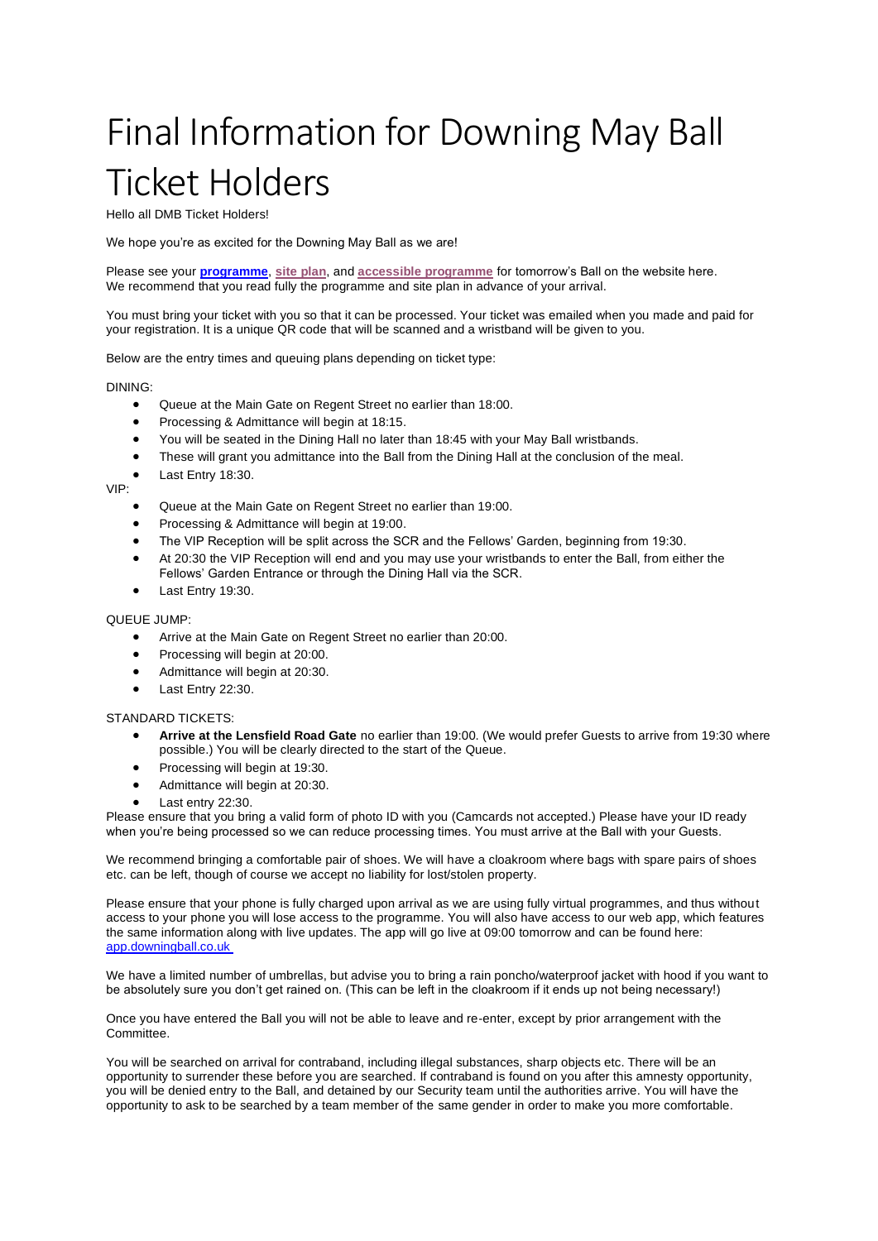## Final Information for Downing May Ball Ticket Holders

Hello all DMB Ticket Holders!

We hope you're as excited for the Downing May Ball as we are!

Please see your **[programme](https://downingball.co.uk/programme.pdf)**, **[site plan](https://downingball.co.uk/sitemap.pdf)**, and **[accessible programme](https://downingball.co.uk/programme-plaintext.pdf)** for tomorrow's Ball on the website here. We recommend that you read fully the programme and site plan in advance of your arrival.

You must bring your ticket with you so that it can be processed. Your ticket was emailed when you made and paid for your registration. It is a unique QR code that will be scanned and a wristband will be given to you.

Below are the entry times and queuing plans depending on ticket type:

## DINING:

- Queue at the Main Gate on Regent Street no earlier than 18:00.
- Processing & Admittance will begin at 18:15.
- You will be seated in the Dining Hall no later than 18:45 with your May Ball wristbands.
- These will grant you admittance into the Ball from the Dining Hall at the conclusion of the meal.
- Last Entry 18:30. VIP:
	- Queue at the Main Gate on Regent Street no earlier than 19:00.
	- Processing & Admittance will begin at 19:00.
	- The VIP Reception will be split across the SCR and the Fellows' Garden, beginning from 19:30.
	- At 20:30 the VIP Reception will end and you may use your wristbands to enter the Ball, from either the Fellows' Garden Entrance or through the Dining Hall via the SCR.
	- Last Entry 19:30.

## QUEUE JUMP:

- Arrive at the Main Gate on Regent Street no earlier than 20:00.
- Processing will begin at 20:00.
- Admittance will begin at 20:30.
- Last Entry 22:30.

## STANDARD TICKETS:

- **Arrive at the Lensfield Road Gate** no earlier than 19:00. (We would prefer Guests to arrive from 19:30 where possible.) You will be clearly directed to the start of the Queue.
- Processing will begin at 19:30.
- Admittance will begin at 20:30.
- Last entry 22:30.

Please ensure that you bring a valid form of photo ID with you (Camcards not accepted.) Please have your ID ready when you're being processed so we can reduce processing times. You must arrive at the Ball with your Guests.

We recommend bringing a comfortable pair of shoes. We will have a cloakroom where bags with spare pairs of shoes etc. can be left, though of course we accept no liability for lost/stolen property.

Please ensure that your phone is fully charged upon arrival as we are using fully virtual programmes, and thus without access to your phone you will lose access to the programme. You will also have access to our web app, which features the same information along with live updates. The app will go live at 09:00 tomorrow and can be found here: [app.downingball.co.uk](https://app.downingball.co.uk/)

We have a limited number of umbrellas, but advise you to bring a rain poncho/waterproof jacket with hood if you want to be absolutely sure you don't get rained on. (This can be left in the cloakroom if it ends up not being necessary!)

Once you have entered the Ball you will not be able to leave and re-enter, except by prior arrangement with the Committee.

You will be searched on arrival for contraband, including illegal substances, sharp objects etc. There will be an opportunity to surrender these before you are searched. If contraband is found on you after this amnesty opportunity, you will be denied entry to the Ball, and detained by our Security team until the authorities arrive. You will have the opportunity to ask to be searched by a team member of the same gender in order to make you more comfortable.